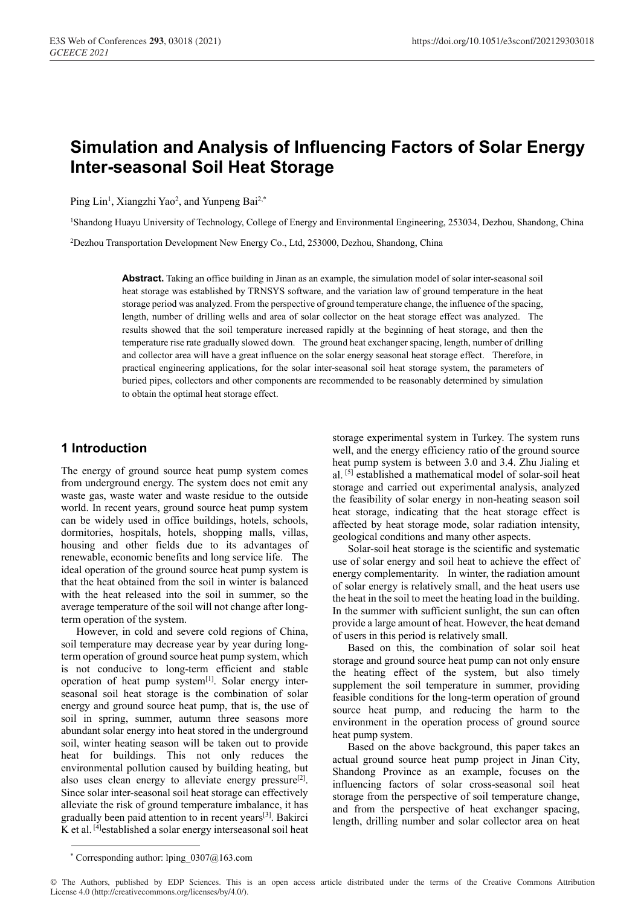# **Simulation and Analysis of Influencing Factors of Solar Energy Inter-seasonal Soil Heat Storage**

Ping Lin<sup>1</sup>, Xiangzhi Yao<sup>2</sup>, and Yunpeng Bai<sup>2,\*</sup>

1Shandong Huayu University of Technology, College of Energy and Environmental Engineering, 253034, Dezhou, Shandong, China

2Dezhou Transportation Development New Energy Co., Ltd, 253000, Dezhou, Shandong, China

**Abstract.** Taking an office building in Jinan as an example, the simulation model of solar inter-seasonal soil heat storage was established by TRNSYS software, and the variation law of ground temperature in the heat storage period was analyzed. From the perspective of ground temperature change, the influence of the spacing, length, number of drilling wells and area of solar collector on the heat storage effect was analyzed. The results showed that the soil temperature increased rapidly at the beginning of heat storage, and then the temperature rise rate gradually slowed down. The ground heat exchanger spacing, length, number of drilling and collector area will have a great influence on the solar energy seasonal heat storage effect. Therefore, in practical engineering applications, for the solar inter-seasonal soil heat storage system, the parameters of buried pipes, collectors and other components are recommended to be reasonably determined by simulation to obtain the optimal heat storage effect.

# **1 Introduction**

The energy of ground source heat pump system comes from underground energy. The system does not emit any waste gas, waste water and waste residue to the outside world. In recent years, ground source heat pump system can be widely used in office buildings, hotels, schools, dormitories, hospitals, hotels, shopping malls, villas, housing and other fields due to its advantages of renewable, economic benefits and long service life. The ideal operation of the ground source heat pump system is that the heat obtained from the soil in winter is balanced with the heat released into the soil in summer, so the average temperature of the soil will not change after longterm operation of the system.

However, in cold and severe cold regions of China, soil temperature may decrease year by year during longterm operation of ground source heat pump system, which is not conducive to long-term efficient and stable operation of heat pump system<sup>[1]</sup>. Solar energy interseasonal soil heat storage is the combination of solar energy and ground source heat pump, that is, the use of soil in spring, summer, autumn three seasons more abundant solar energy into heat stored in the underground soil, winter heating season will be taken out to provide heat for buildings. This not only reduces the environmental pollution caused by building heating, but also uses clean energy to alleviate energy pressure $[2]$ . Since solar inter-seasonal soil heat storage can effectively alleviate the risk of ground temperature imbalance, it has gradually been paid attention to in recent years[3]. Bakirci K et al. [4] established a solar energy interseasonal soil heat

storage experimental system in Turkey. The system runs well, and the energy efficiency ratio of the ground source heat pump system is between 3.0 and 3.4. Zhu Jialing et al. [5] established a mathematical model of solar-soil heat storage and carried out experimental analysis, analyzed the feasibility of solar energy in non-heating season soil heat storage, indicating that the heat storage effect is affected by heat storage mode, solar radiation intensity, geological conditions and many other aspects.

Solar-soil heat storage is the scientific and systematic use of solar energy and soil heat to achieve the effect of energy complementarity. In winter, the radiation amount of solar energy is relatively small, and the heat users use the heat in the soil to meet the heating load in the building. In the summer with sufficient sunlight, the sun can often provide a large amount of heat. However, the heat demand of users in this period is relatively small.

Based on this, the combination of solar soil heat storage and ground source heat pump can not only ensure the heating effect of the system, but also timely supplement the soil temperature in summer, providing feasible conditions for the long-term operation of ground source heat pump, and reducing the harm to the environment in the operation process of ground source heat pump system.

Based on the above background, this paper takes an actual ground source heat pump project in Jinan City, Shandong Province as an example, focuses on the influencing factors of solar cross-seasonal soil heat storage from the perspective of soil temperature change, and from the perspective of heat exchanger spacing, length, drilling number and solar collector area on heat

<sup>\*</sup> Corresponding author: lping  $0307@163$ .com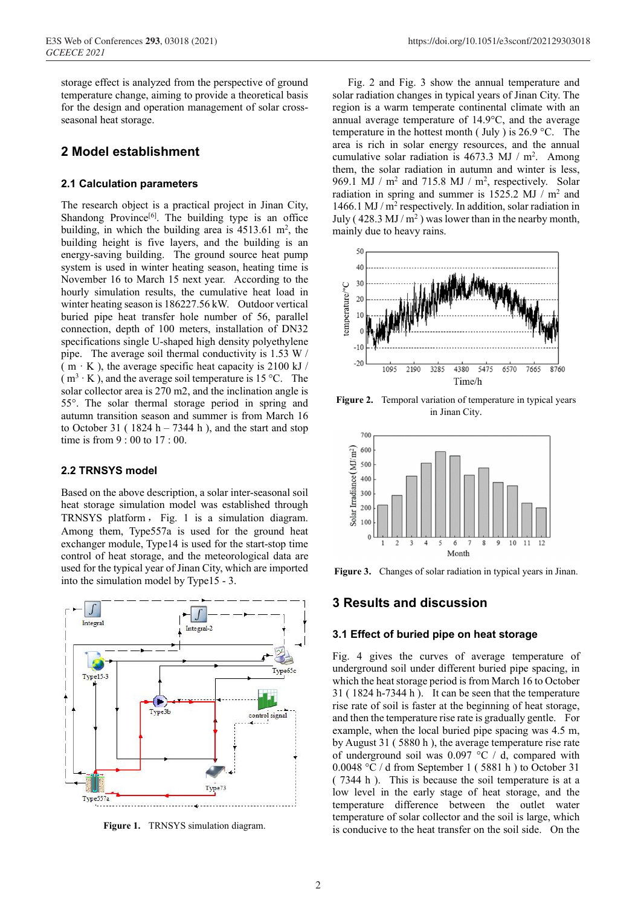storage effect is analyzed from the perspective of ground temperature change, aiming to provide a theoretical basis for the design and operation management of solar crossseasonal heat storage.

# **2 Model establishment**

## **2.1 Calculation parameters**

The research object is a practical project in Jinan City, Shandong Province $[6]$ . The building type is an office building, in which the building area is  $4513.61 \text{ m}^2$ , the building height is five layers, and the building is an energy-saving building. The ground source heat pump system is used in winter heating season, heating time is November 16 to March 15 next year. According to the hourly simulation results, the cumulative heat load in winter heating season is 186227.56 kW. Outdoor vertical buried pipe heat transfer hole number of 56, parallel connection, depth of 100 meters, installation of DN32 specifications single U-shaped high density polyethylene pipe. The average soil thermal conductivity is 1.53 W / ( $m \cdot K$ ), the average specific heat capacity is 2100 kJ /  $(m<sup>3</sup> · K)$ , and the average soil temperature is 15 °C. The solar collector area is 270 m2, and the inclination angle is 55°. The solar thermal storage period in spring and autumn transition season and summer is from March 16 to October 31 ( $1824 h - 7344 h$ ), and the start and stop time is from 9 : 00 to 17 : 00.

## **2.2 TRNSYS model**

Based on the above description, a solar inter-seasonal soil heat storage simulation model was established through TRNSYS platform , Fig. 1 is a simulation diagram. Among them, Type557a is used for the ground heat exchanger module, Type14 is used for the start-stop time control of heat storage, and the meteorological data are used for the typical year of Jinan City, which are imported into the simulation model by Type15 - 3.



**Figure 1.** TRNSYS simulation diagram.

Fig. 2 and Fig. 3 show the annual temperature and solar radiation changes in typical years of Jinan City. The region is a warm temperate continental climate with an annual average temperature of 14.9°C, and the average temperature in the hottest month ( July ) is  $26.9 \degree$ C. The area is rich in solar energy resources, and the annual cumulative solar radiation is  $4673.3$  MJ / m<sup>2</sup>. Among them, the solar radiation in autumn and winter is less, 969.1 MJ /  $m^2$  and 715.8 MJ /  $m^2$ , respectively. Solar radiation in spring and summer is  $1525.2$  MJ / m<sup>2</sup> and 1466.1 MJ / m<sup>2</sup> respectively. In addition, solar radiation in July ( $428.3 \text{ MJ/m}^2$ ) was lower than in the nearby month, mainly due to heavy rains.



**Figure 2.** Temporal variation of temperature in typical years in Jinan City.



**Figure 3.** Changes of solar radiation in typical years in Jinan.

# **3 Results and discussion**

#### **3.1 Effect of buried pipe on heat storage**

Fig. 4 gives the curves of average temperature of underground soil under different buried pipe spacing, in which the heat storage period is from March 16 to October 31 ( 1824 h-7344 h ). It can be seen that the temperature rise rate of soil is faster at the beginning of heat storage, and then the temperature rise rate is gradually gentle. For example, when the local buried pipe spacing was 4.5 m, by August 31 ( 5880 h ), the average temperature rise rate of underground soil was 0.097 °C / d, compared with 0.0048 °C / d from September 1 ( 5881 h ) to October 31 ( 7344 h ). This is because the soil temperature is at a low level in the early stage of heat storage, and the temperature difference between the outlet water temperature of solar collector and the soil is large, which is conducive to the heat transfer on the soil side. On the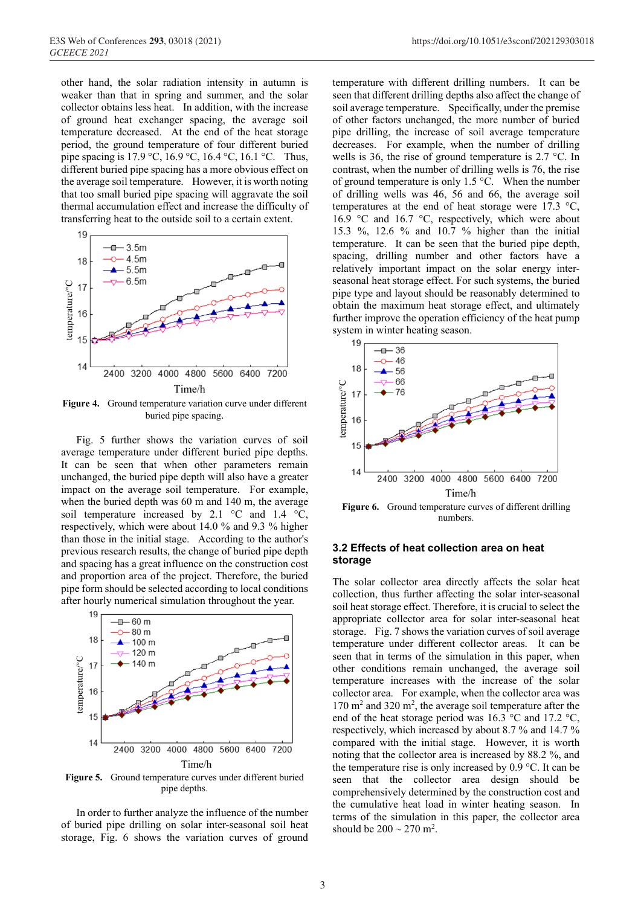other hand, the solar radiation intensity in autumn is weaker than that in spring and summer, and the solar collector obtains less heat. In addition, with the increase of ground heat exchanger spacing, the average soil temperature decreased. At the end of the heat storage period, the ground temperature of four different buried pipe spacing is 17.9 °C, 16.9 °C, 16.4 °C, 16.1 °C. Thus, different buried pipe spacing has a more obvious effect on the average soil temperature. However, it is worth noting that too small buried pipe spacing will aggravate the soil thermal accumulation effect and increase the difficulty of transferring heat to the outside soil to a certain extent.



**Figure 4.** Ground temperature variation curve under different buried pipe spacing.

Fig. 5 further shows the variation curves of soil average temperature under different buried pipe depths. It can be seen that when other parameters remain unchanged, the buried pipe depth will also have a greater impact on the average soil temperature. For example, when the buried depth was 60 m and 140 m, the average soil temperature increased by 2.1 °C and 1.4 °C, respectively, which were about 14.0 % and 9.3 % higher than those in the initial stage. According to the author's previous research results, the change of buried pipe depth and spacing has a great influence on the construction cost and proportion area of the project. Therefore, the buried pipe form should be selected according to local conditions after hourly numerical simulation throughout the year.



**Figure 5.** Ground temperature curves under different buried pipe depths.

In order to further analyze the influence of the number of buried pipe drilling on solar inter-seasonal soil heat storage, Fig. 6 shows the variation curves of ground

temperature with different drilling numbers. It can be seen that different drilling depths also affect the change of soil average temperature. Specifically, under the premise of other factors unchanged, the more number of buried pipe drilling, the increase of soil average temperature decreases. For example, when the number of drilling wells is 36, the rise of ground temperature is 2.7 °C. In contrast, when the number of drilling wells is 76, the rise of ground temperature is only 1.5 °C. When the number of drilling wells was 46, 56 and 66, the average soil temperatures at the end of heat storage were 17.3 °C, 16.9 °C and 16.7 °C, respectively, which were about 15.3 %, 12.6 % and 10.7 % higher than the initial temperature. It can be seen that the buried pipe depth, spacing, drilling number and other factors have a relatively important impact on the solar energy interseasonal heat storage effect. For such systems, the buried pipe type and layout should be reasonably determined to obtain the maximum heat storage effect, and ultimately further improve the operation efficiency of the heat pump system in winter heating season.



numbers.

## **3.2 Effects of heat collection area on heat storage**

The solar collector area directly affects the solar heat collection, thus further affecting the solar inter-seasonal soil heat storage effect. Therefore, it is crucial to select the appropriate collector area for solar inter-seasonal heat storage. Fig. 7 shows the variation curves of soil average temperature under different collector areas. It can be seen that in terms of the simulation in this paper, when other conditions remain unchanged, the average soil temperature increases with the increase of the solar collector area. For example, when the collector area was 170 m<sup>2</sup> and 320 m<sup>2</sup>, the average soil temperature after the end of the heat storage period was 16.3 °C and 17.2 °C, respectively, which increased by about 8.7 % and 14.7 % compared with the initial stage. However, it is worth noting that the collector area is increased by 88.2 %, and the temperature rise is only increased by 0.9 °C. It can be seen that the collector area design should be comprehensively determined by the construction cost and the cumulative heat load in winter heating season. In terms of the simulation in this paper, the collector area should be  $200 \sim 270$  m<sup>2</sup>.